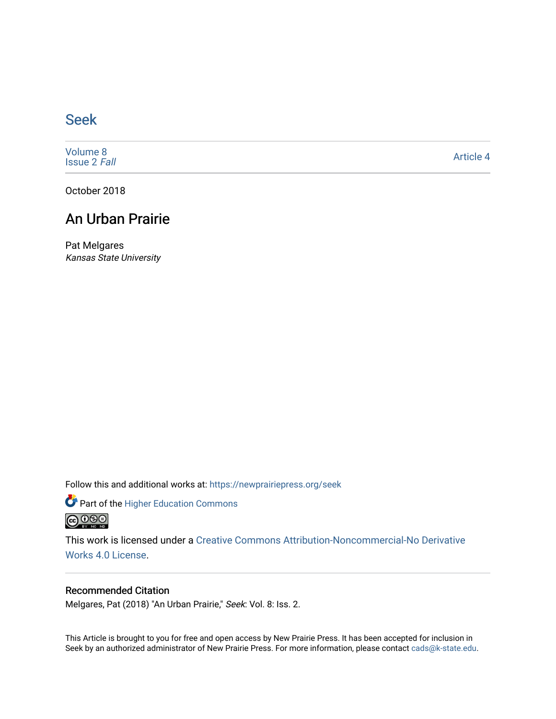# [Seek](https://newprairiepress.org/seek)

[Volume 8](https://newprairiepress.org/seek/vol8) [Issue 2](https://newprairiepress.org/seek/vol8/iss2) Fall

[Article 4](https://newprairiepress.org/seek/vol8/iss2/4) 

October 2018

## An Urban Prairie

Pat Melgares Kansas State University

Follow this and additional works at: [https://newprairiepress.org/seek](https://newprairiepress.org/seek?utm_source=newprairiepress.org%2Fseek%2Fvol8%2Fiss2%2F4&utm_medium=PDF&utm_campaign=PDFCoverPages)

Part of the [Higher Education Commons](http://network.bepress.com/hgg/discipline/1245?utm_source=newprairiepress.org%2Fseek%2Fvol8%2Fiss2%2F4&utm_medium=PDF&utm_campaign=PDFCoverPages) 



This work is licensed under a [Creative Commons Attribution-Noncommercial-No Derivative](https://creativecommons.org/licenses/by-nc-nd/4.0/)  [Works 4.0 License](https://creativecommons.org/licenses/by-nc-nd/4.0/).

### Recommended Citation

Melgares, Pat (2018) "An Urban Prairie," Seek: Vol. 8: Iss. 2.

This Article is brought to you for free and open access by New Prairie Press. It has been accepted for inclusion in Seek by an authorized administrator of New Prairie Press. For more information, please contact [cads@k-state.edu](mailto:cads@k-state.edu).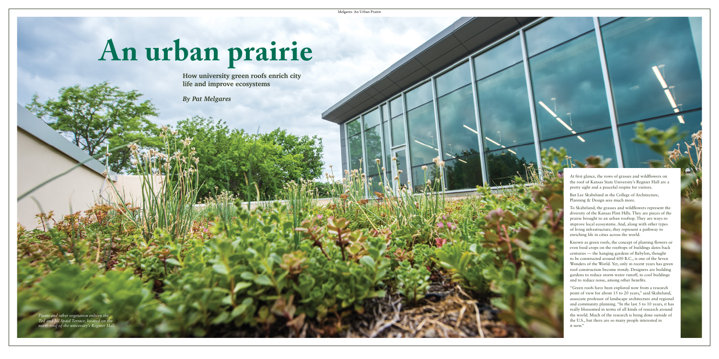# **An urban prairie**

At first glance, the rows of grasses and wildflowers on the roof of Kansas State University's Regnier Hall are a pretty sight and a peaceful respite for visitors.

But Lee Skabelund in the College of Architecture, Planning & Design sees much more.

To Skabelund, the grasses and wildflowers represent the diversity of the Kansas Flint Hills. They are pieces of the prairie brought to an urban rooftop. They are ways to improve local ecosystems. And, along with other types of living infrastructure, they represent a pathway to enriching life in cities across the world.

Known as green roofs, the concept of planting flowers or even food crops on the rooftops of buildings dates back centuries — the hanging gardens of Babylon, thought to be constructed around 600 B.C., is one of the Seven Wonders of the World. Yet, only in recent years has green roof construction become trendy. Designers are building gardens to reduce storm water runoff, to cool buildings and to reduce noise, among other benefits.

"Green roofs have been explored now from a research point of view for about 15 to 20 years," said Skabelund, associate professor of landscape architecture and regional and community planning. "In the last 5 to 10 years, it has really blossomed in terms of all kinds of research around the world. Much of the research is being done outside of the U.S., but there are so many people interested in it now."

**How university green roofs enrich city life and improve ecosystems**

*By Pat Melgares*

*Plants and other vegetation enliven the Ted and Jill Spaid Terrace, located on the north roof of the university's Regnier Hall.*